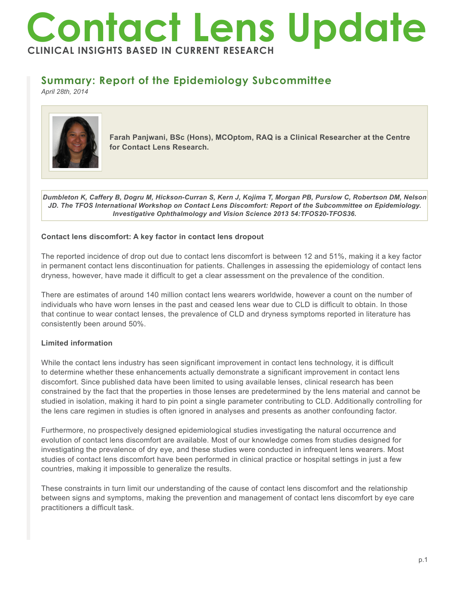# **Contact Lens Update CLINICAL INSIGHTS BASED IN CURRENT RESEARCH**

## **Summary: Report of the Epidemiology Subcommittee**

*April 28th, 2014*



**Farah Panjwani, BSc (Hons), MCOptom, RAQ is a Clinical Researcher at the Centre for Contact Lens Research.**

*Dumbleton K, Caffery B, Dogru M, Hickson-Curran S, Kern J, Kojima T, Morgan PB, Purslow C, Robertson DM, Nelson JD. The TFOS International Workshop on Contact Lens Discomfort: Report of the Subcommittee on Epidemiology. Investigative Ophthalmology and Vision Science 2013 54:TFOS20-TFOS36.*

#### **Contact lens discomfort: A key factor in contact lens dropout**

The reported incidence of drop out due to contact lens discomfort is between 12 and 51%, making it a key factor in permanent contact lens discontinuation for patients. Challenges in assessing the epidemiology of contact lens dryness, however, have made it difficult to get a clear assessment on the prevalence of the condition.

There are estimates of around 140 million contact lens wearers worldwide, however a count on the number of individuals who have worn lenses in the past and ceased lens wear due to CLD is difficult to obtain. In those that continue to wear contact lenses, the prevalence of CLD and dryness symptoms reported in literature has consistently been around 50%.

### **Limited information**

While the contact lens industry has seen significant improvement in contact lens technology, it is difficult to determine whether these enhancements actually demonstrate a significant improvement in contact lens discomfort. Since published data have been limited to using available lenses, clinical research has been constrained by the fact that the properties in those lenses are predetermined by the lens material and cannot be studied in isolation, making it hard to pin point a single parameter contributing to CLD. Additionally controlling for the lens care regimen in studies is often ignored in analyses and presents as another confounding factor.

Furthermore, no prospectively designed epidemiological studies investigating the natural occurrence and evolution of contact lens discomfort are available. Most of our knowledge comes from studies designed for investigating the prevalence of dry eye, and these studies were conducted in infrequent lens wearers. Most studies of contact lens discomfort have been performed in clinical practice or hospital settings in just a few countries, making it impossible to generalize the results.

These constraints in turn limit our understanding of the cause of contact lens discomfort and the relationship between signs and symptoms, making the prevention and management of contact lens discomfort by eye care practitioners a difficult task.